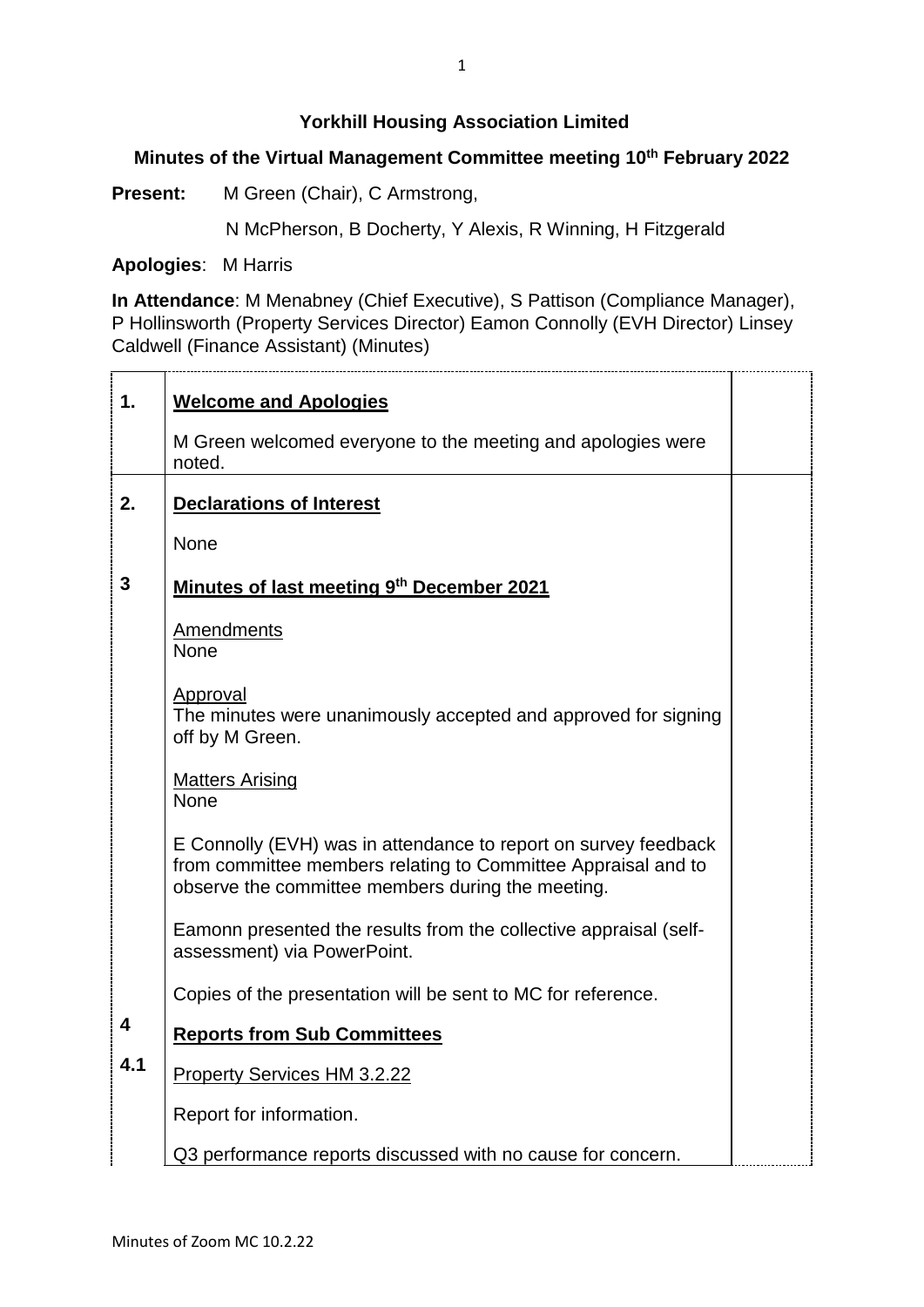## **Yorkhill Housing Association Limited**

## **Minutes of the Virtual Management Committee meeting 10th February 2022**

**Present:** M Green (Chair), C Armstrong,

N McPherson, B Docherty, Y Alexis, R Winning, H Fitzgerald

**Apologies**: M Harris

**In Attendance**: M Menabney (Chief Executive), S Pattison (Compliance Manager), P Hollinsworth (Property Services Director) Eamon Connolly (EVH Director) Linsey Caldwell (Finance Assistant) (Minutes)

| 1.  | <b>Welcome and Apologies</b>                                                                                                                                                          |  |
|-----|---------------------------------------------------------------------------------------------------------------------------------------------------------------------------------------|--|
|     | M Green welcomed everyone to the meeting and apologies were<br>noted.                                                                                                                 |  |
| 2.  | <b>Declarations of Interest</b>                                                                                                                                                       |  |
|     | None                                                                                                                                                                                  |  |
| 3   | Minutes of last meeting 9th December 2021                                                                                                                                             |  |
|     | <b>Amendments</b><br><b>None</b>                                                                                                                                                      |  |
|     | <u>Approval</u><br>The minutes were unanimously accepted and approved for signing<br>off by M Green.                                                                                  |  |
|     | <b>Matters Arising</b><br>None                                                                                                                                                        |  |
|     | E Connolly (EVH) was in attendance to report on survey feedback<br>from committee members relating to Committee Appraisal and to<br>observe the committee members during the meeting. |  |
|     | Eamonn presented the results from the collective appraisal (self-<br>assessment) via PowerPoint.                                                                                      |  |
|     | Copies of the presentation will be sent to MC for reference.                                                                                                                          |  |
| 4   | <b>Reports from Sub Committees</b>                                                                                                                                                    |  |
| 4.1 | <b>Property Services HM 3.2.22</b>                                                                                                                                                    |  |
|     | Report for information.                                                                                                                                                               |  |
|     | Q3 performance reports discussed with no cause for concern.                                                                                                                           |  |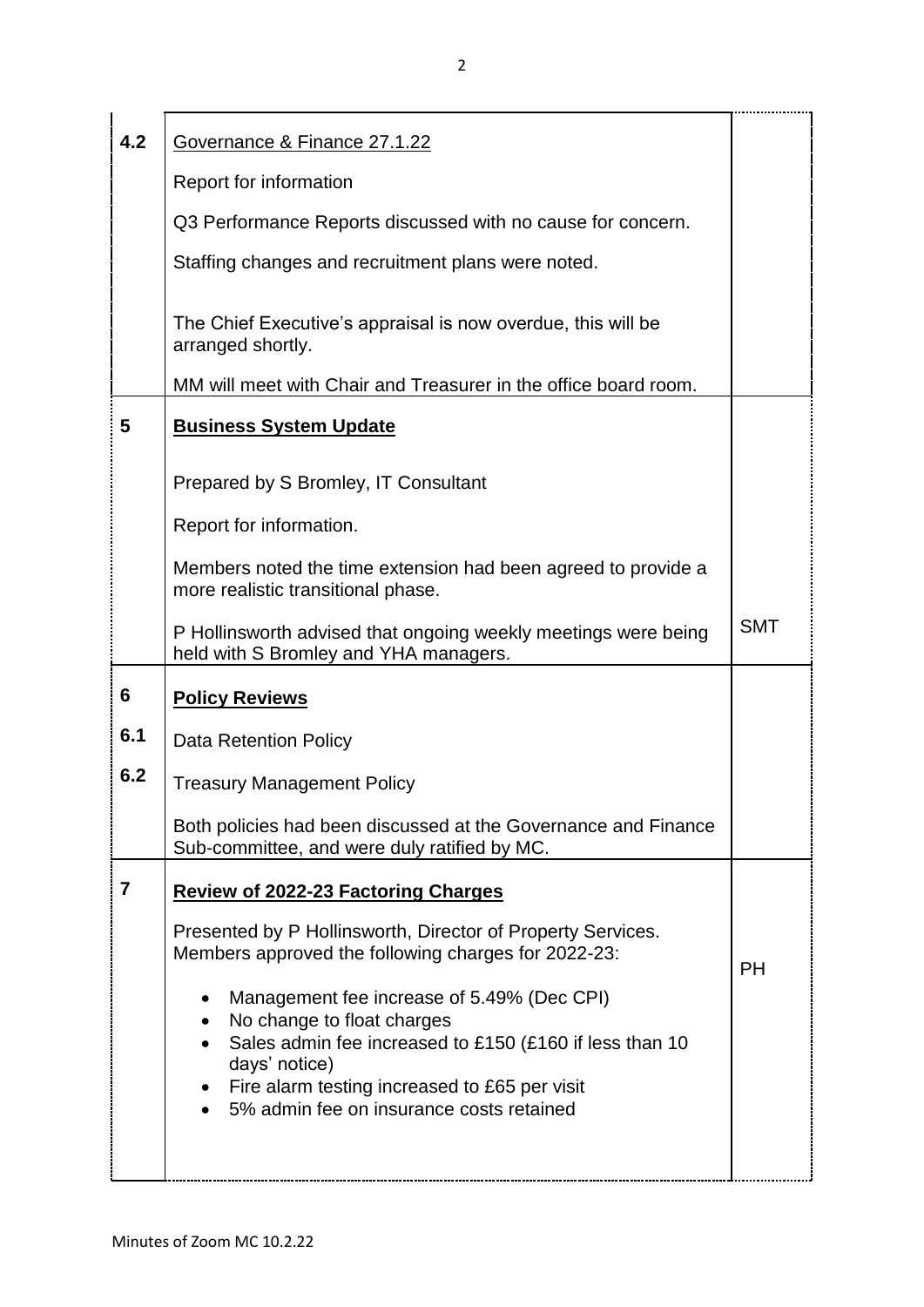| 4.2 | Governance & Finance 27.1.22                                                                                       |            |
|-----|--------------------------------------------------------------------------------------------------------------------|------------|
|     | Report for information                                                                                             |            |
|     | Q3 Performance Reports discussed with no cause for concern.                                                        |            |
|     | Staffing changes and recruitment plans were noted.                                                                 |            |
|     | The Chief Executive's appraisal is now overdue, this will be<br>arranged shortly.                                  |            |
|     | MM will meet with Chair and Treasurer in the office board room.                                                    |            |
| 5   | <b>Business System Update</b>                                                                                      |            |
|     | Prepared by S Bromley, IT Consultant                                                                               |            |
|     | Report for information.                                                                                            |            |
|     | Members noted the time extension had been agreed to provide a<br>more realistic transitional phase.                |            |
|     | P Hollinsworth advised that ongoing weekly meetings were being<br>held with S Bromley and YHA managers.            | <b>SMT</b> |
| 6   | <b>Policy Reviews</b>                                                                                              |            |
| 6.1 | <b>Data Retention Policy</b>                                                                                       |            |
| 6.2 | <b>Treasury Management Policy</b>                                                                                  |            |
|     | Both policies had been discussed at the Governance and Finance<br>Sub-committee, and were duly ratified by MC.     |            |
| 7   | <b>Review of 2022-23 Factoring Charges</b>                                                                         |            |
|     | Presented by P Hollinsworth, Director of Property Services.<br>Members approved the following charges for 2022-23: | <b>PH</b>  |
|     | Management fee increase of 5.49% (Dec CPI)<br>No change to float charges                                           |            |
|     | Sales admin fee increased to £150 (£160 if less than 10<br>days' notice)                                           |            |
|     | Fire alarm testing increased to £65 per visit<br>5% admin fee on insurance costs retained                          |            |
|     |                                                                                                                    |            |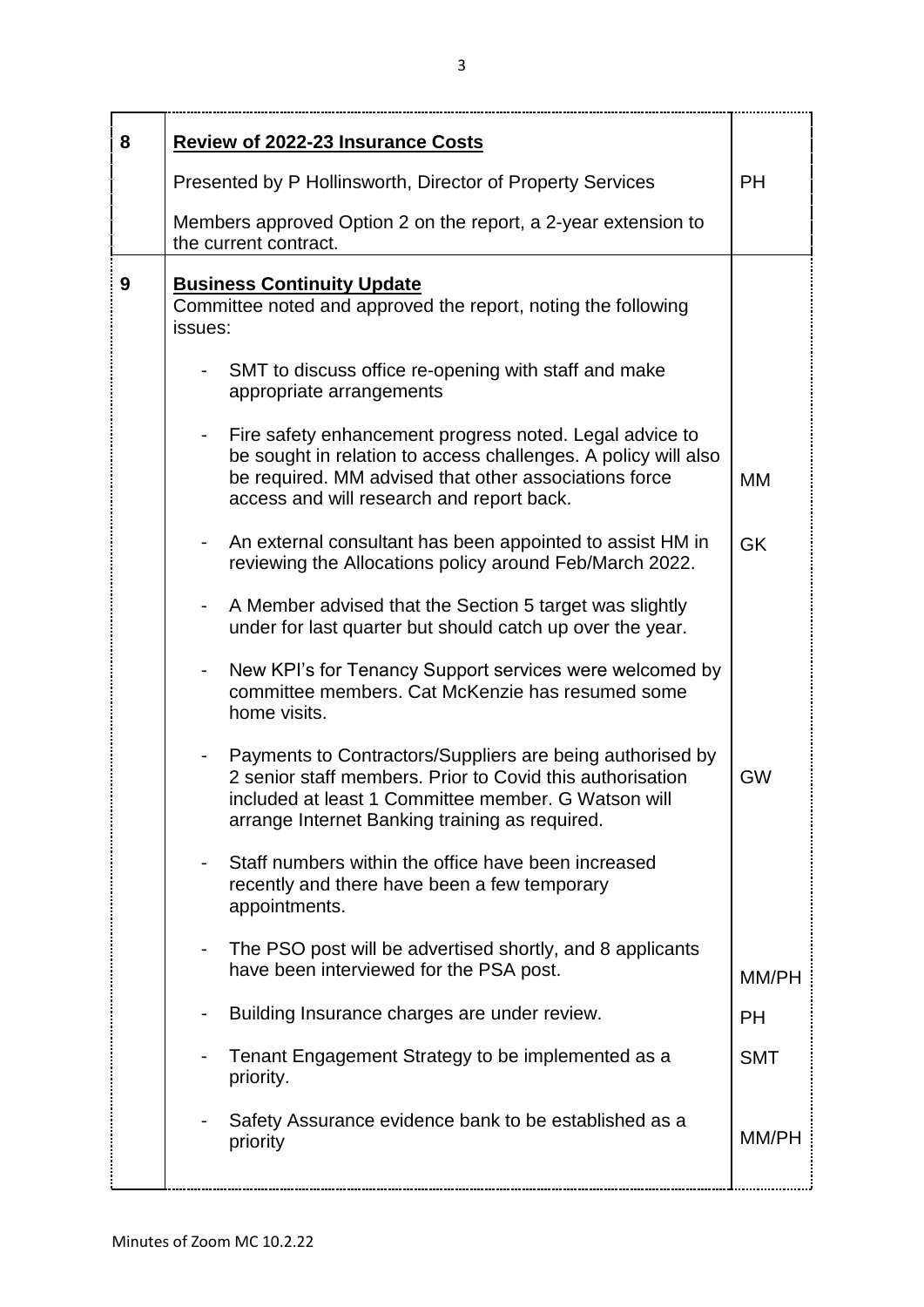| 8 | <b>Review of 2022-23 Insurance Costs</b>                                                                                                                                                                                        |            |
|---|---------------------------------------------------------------------------------------------------------------------------------------------------------------------------------------------------------------------------------|------------|
|   | Presented by P Hollinsworth, Director of Property Services                                                                                                                                                                      | <b>PH</b>  |
|   | Members approved Option 2 on the report, a 2-year extension to<br>the current contract.                                                                                                                                         |            |
| 9 | <b>Business Continuity Update</b><br>Committee noted and approved the report, noting the following<br>issues:                                                                                                                   |            |
|   | SMT to discuss office re-opening with staff and make<br>appropriate arrangements                                                                                                                                                |            |
|   | Fire safety enhancement progress noted. Legal advice to<br>be sought in relation to access challenges. A policy will also<br>be required. MM advised that other associations force<br>access and will research and report back. | MM         |
|   | An external consultant has been appointed to assist HM in<br>reviewing the Allocations policy around Feb/March 2022.                                                                                                            | <b>GK</b>  |
|   | A Member advised that the Section 5 target was slightly<br>under for last quarter but should catch up over the year.                                                                                                            |            |
|   | New KPI's for Tenancy Support services were welcomed by<br>committee members. Cat McKenzie has resumed some<br>home visits.                                                                                                     |            |
|   | Payments to Contractors/Suppliers are being authorised by<br>2 senior staff members. Prior to Covid this authorisation<br>included at least 1 Committee member. G Watson will<br>arrange Internet Banking training as required. | <b>GW</b>  |
|   | Staff numbers within the office have been increased<br>recently and there have been a few temporary<br>appointments.                                                                                                            |            |
|   | The PSO post will be advertised shortly, and 8 applicants<br>have been interviewed for the PSA post.                                                                                                                            | MM/PH      |
|   | Building Insurance charges are under review.                                                                                                                                                                                    | <b>PH</b>  |
|   | Tenant Engagement Strategy to be implemented as a<br>priority.                                                                                                                                                                  | <b>SMT</b> |
|   | Safety Assurance evidence bank to be established as a<br>priority                                                                                                                                                               | MM/PH      |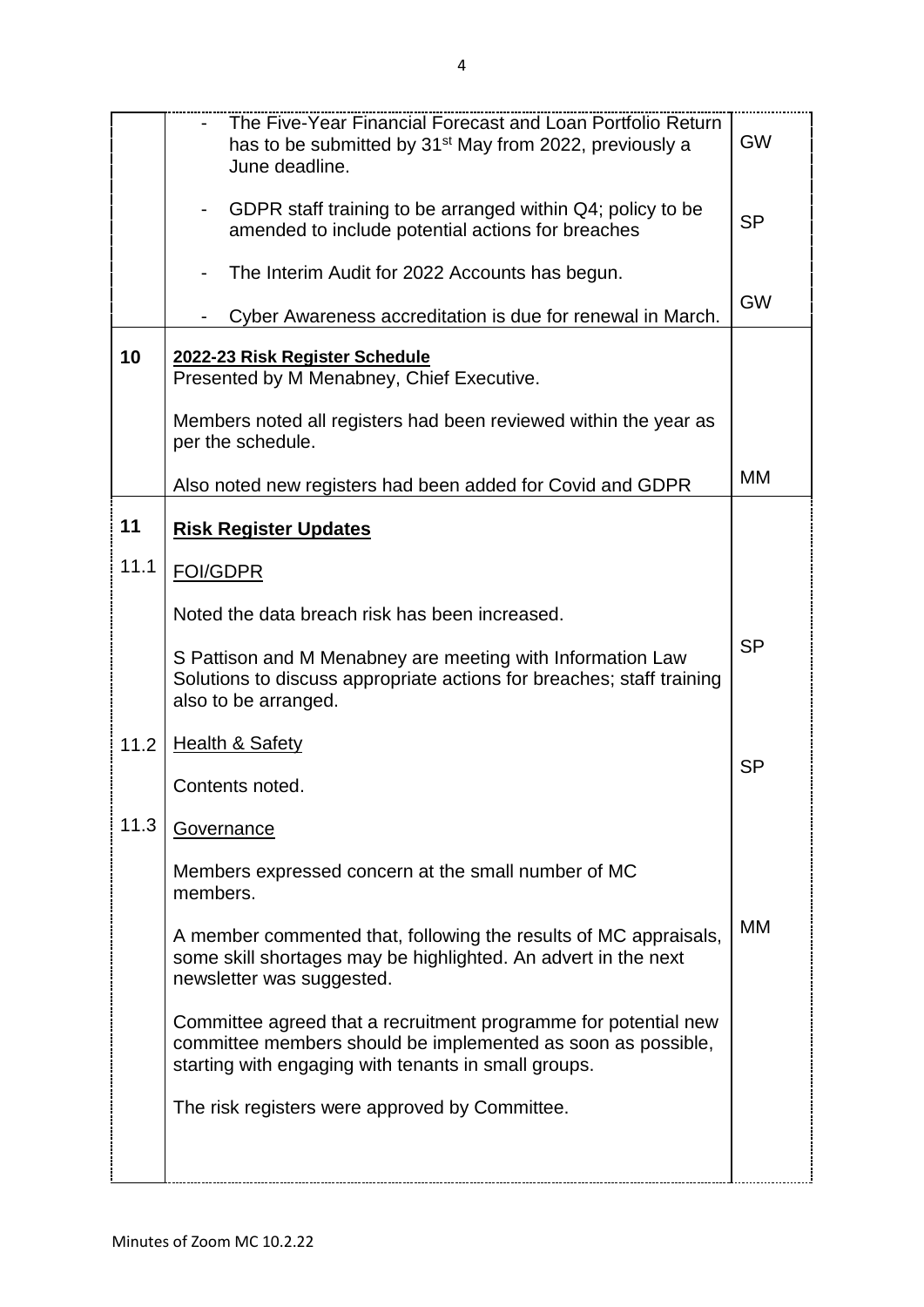|      | The Five-Year Financial Forecast and Loan Portfolio Return<br>has to be submitted by 31 <sup>st</sup> May from 2022, previously a<br>June deadline.                                     | <b>GW</b> |
|------|-----------------------------------------------------------------------------------------------------------------------------------------------------------------------------------------|-----------|
|      | GDPR staff training to be arranged within Q4; policy to be<br>amended to include potential actions for breaches                                                                         | <b>SP</b> |
|      | The Interim Audit for 2022 Accounts has begun.                                                                                                                                          | <b>GW</b> |
|      | Cyber Awareness accreditation is due for renewal in March.                                                                                                                              |           |
| 10   | 2022-23 Risk Register Schedule<br>Presented by M Menabney, Chief Executive.                                                                                                             |           |
|      | Members noted all registers had been reviewed within the year as<br>per the schedule.                                                                                                   |           |
|      | Also noted new registers had been added for Covid and GDPR                                                                                                                              | МM        |
| 11   | <b>Risk Register Updates</b>                                                                                                                                                            |           |
| 11.1 | <b>FOI/GDPR</b>                                                                                                                                                                         |           |
|      | Noted the data breach risk has been increased.                                                                                                                                          |           |
|      | S Pattison and M Menabney are meeting with Information Law<br>Solutions to discuss appropriate actions for breaches; staff training<br>also to be arranged.                             | <b>SP</b> |
| 11.2 | <b>Health &amp; Safety</b>                                                                                                                                                              |           |
|      | Contents noted.                                                                                                                                                                         | <b>SP</b> |
| 11.3 | <b>Governance</b>                                                                                                                                                                       |           |
|      | Members expressed concern at the small number of MC<br>members.                                                                                                                         |           |
|      | A member commented that, following the results of MC appraisals,<br>some skill shortages may be highlighted. An advert in the next<br>newsletter was suggested.                         | МM        |
|      | Committee agreed that a recruitment programme for potential new<br>committee members should be implemented as soon as possible,<br>starting with engaging with tenants in small groups. |           |
|      | The risk registers were approved by Committee.                                                                                                                                          |           |
|      |                                                                                                                                                                                         |           |